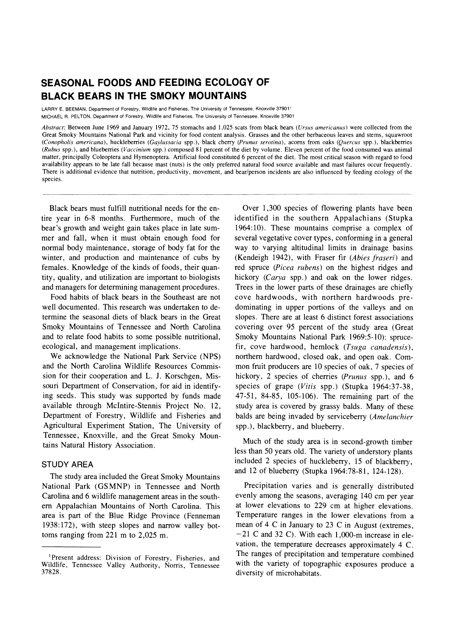# **SEASONAL FOODS AND FEEDING ECOLOGY OF BLACK BEARS IN THE SMOKY MOUNTAINS**

**LARRY E. BEEMAN, Department of Forestry, Wildlife and Fisheries, The University of Tennessee, Knoxville 37901' MICHAEL R. PELTON, Department of Forestry, Wildlife and Fisheries, The University of Tennessee, Knoxville 37901** 

**Abstract: Between June 1969 and January 1972, 75 stomachs and 1,025 scats from black bears (Ursus americanus) were collected from the Great Smoky Mountains National Park and vicinity for food content analysis. Grasses and the other herbaceous leaves and stems, squawroot (Conopholis americana), huckleberries (Gaylussacia spp.), black cherry (Prunus serotina), acorns from oaks (Quercus spp.), blackberries (Rubus spp.), and blueberries (Vaccinium spp.) composed 81 percent of the diet by volume. Eleven percent of the food consumed was animal matter, principally Coleoptera and Hymenoptera. Artificial food constituted 6 percent of the diet. The most critical season with regard to food availability appears to be late fall because mast (nuts) is the only preferred natural food source available and mast failures occur frequently. There is additional evidence that nutrition, productivity, movement, and bear/person incidents are also influenced by feeding ecology of the species.** 

**Black bears must fulfill nutritional needs for the entire year in 6-8 months. Furthermore, much of the bear's growth and weight gain takes place in late summer and fall, when it must obtain enough food for normal body maintenance, storage of body fat for the winter, and production and maintenance of cubs by females. Knowledge of the kinds of foods, their quantity, quality, and utilization are important to biologists and managers for determining management procedures.** 

**Food habits of black bears in the Southeast are not well documented. This research was undertaken to determine the seasonal diets of black bears in the Great Smoky Mountains of Tennessee and North Carolina and to relate food habits to some possible nutritional, ecological, and management implications.** 

**We acknowledge the National Park Service (NPS) and the North Carolina Wildlife Resources Commission for their cooperation and L. J. Korschgen, Missouri Department of Conservation, for aid in identifying seeds. This study was supported by funds made available through McIntire-Stennis Project No. 12, Department of Forestry, Wildlife and Fisheries and Agricultural Experiment Station, The University of Tennessee, Knoxville, and the Great Smoky Mountains Natural History Association.** 

## **STUDY AREA**

**The study area included the Great Smoky Mountains National Park (GSMNP) in Tennessee and North Carolina and 6 wildlife management areas in the southern Appalachian Mountains of North Carolina. This area is part of the Blue Ridge Province (Fenneman 1938:172), with steep slopes and narrow valley bottoms ranging from 221 m to 2,025 m.** 

**Over 1,300 species of flowering plants have been identified in the southern Appalachians (Stupka 1964:10). These mountains comprise a complex of several vegetative cover types, conforming in a general way to varying altitudinal limits in drainage basins (Kendeigh 1942), with Fraser fir (Abies fraseri) and red spruce (Picea rubens) on the highest ridges and hickory (Carya spp.) and oak on the lower ridges. Trees in the lower parts of these drainages are chiefly cove hardwoods, with northern hardwoods predominating in upper portions of the valleys and on slopes. There are at least 6 distinct forest associations covering over 95 percent of the study area (Great Smoky Mountains National Park 1969:5-10): sprucefir, cove hardwood, hemlock (Tsuga canadensis), northern hardwood, closed oak, and open oak. Common fruit producers are 10 species of oak, 7 species of hickory, 2 species of cherries (Prunus spp.), and 6 species of grape (Vitis spp.) (Stupka 1964:37-38, 47-51, 84-85, 105-106). The remaining part of the study area is covered by grassy balds. Many of these balds are being invaded by serviceberry (Amelanchier spp.), blackberry, and blueberry.** 

**Much of the study area is in second-growth timber less than 50 years old. The variety of understory plants included 2 species of huckleberry, 15 of blackberry, and 12 of blueberry (Stupka 1964:78-81, 124-128).** 

**Precipitation varies and is generally distributed evenly among the seasons, averaging 140 cm per year at lower elevations to 229 cm at higher elevations. Temperature ranges in the lower elevations from a mean of 4 C in January to 23 C in August (extremes, -21 C and 32 C). With each 1,000-m increase in elevation, the temperature decreases approximately 4 C. The ranges of precipitation and temperature combined with the variety of topographic exposures produce a diversity of microhabitats.** 

**<sup>&#</sup>x27;Present address: Division of Forestry, Fisheries, and Wildlife, Tennessee Valley Authority, Norris, Tennessee 37828.**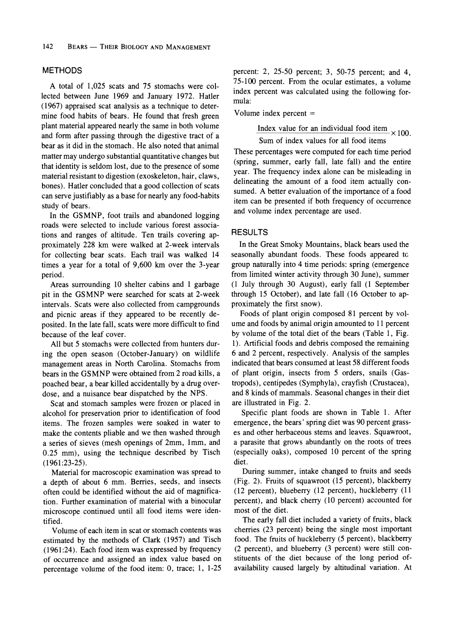### **METHODS**

**A total of 1,025 scats and 75 stomachs were collected between June 1969 and January 1972. Hatler (1967) appraised scat analysis as a technique to determine food habits of bears. He found that fresh green plant material appeared nearly the same in both volume and form after passing through the digestive tract of a bear as it did in the stomach. He also noted that animal matter may undergo substantial quantitative changes but that identity is seldom lost, due to the presence of some material resistant to digestion (exoskeleton, hair, claws, bones). Hatler concluded that a good collection of scats can serve justifiably as a base for nearly any food-habits study of bears.** 

**In the GSMNP, foot trails and abandoned logging roads were selected to include various forest associations and ranges of altitude. Ten trails covering approximately 228 km were walked at 2-week intervals for collecting bear scats. Each trail was walked 14 times a year for a total of 9,600 km over the 3-year period.** 

**Areas surrounding 10 shelter cabins and 1 garbage pit in the GSMNP were searched for scats at 2-week intervals. Scats were also collected from campgrounds and picnic areas if they appeared to be recently deposited. In the late fall, scats were more difficult to find because of the leaf cover.** 

**All but 5 stomachs were collected from hunters during the open season (October-January) on wildlife management areas in North Carolina. Stomachs from bears in the GSMNP were obtained from 2 road kills, a poached bear, a bear killed accidentally by a drug overdose, and a nuisance bear dispatched by the NPS.** 

**Scat and stomach samples were frozen or placed in alcohol for preservation prior to identification of food items. The frozen samples were soaked in water to make the contents pliable and we then washed through a series of sieves (mesh openings of 2mm, 1mm, and 0.25 mm), using the technique described by Tisch (1961:23-25).** 

**Material for macroscopic examination was spread to a depth of about 6 mm. Berries, seeds, and insects often could be identified without the aid of magnification. Further examination of material with a binocular microscope continued until all food items were identified.** 

**Volume of each item in scat or stomach contents was estimated by the methods of Clark (1957) and Tisch (1961:24). Each food item was expressed by frequency of occurrence and assigned an index value based on percentage volume of the food item: 0, trace; 1, 1-25**  **percent: 2, 25-50 percent; 3, 50-75 percent; and 4, 75-100 percent. From the ocular estimates, a volume index percent was calculated using the following formula:** 

**Volume index percent =** 

Index value for an individual food item  $\times 100$ .

**Sum of index values for all food items** 

**These percentages were computed for each time period (spring, summer, early fall, late fall) and the entire year. The frequency index alone can be misleading in delineating the amount of a food item actually consumed. A better evaluation of the importance of a food item can be presented if both frequency of occurrence and volume index percentage are used.** 

#### **RESULTS**

**In the Great Smoky Mountains, black bears used the seasonally abundant foods. These foods appeared tc group naturally into 4 time periods: spring (emergence from limited winter activity through 30 June), summer (1 July through 30 August), early fall (1 September through 15 October), and late fall (16 October to approximately the first snow).** 

**Foods of plant origin composed 81 percent by volume and foods by animal origin amounted to 11 percent by volume of the total diet of the bears (Table 1, Fig. 1). Artificial foods and debris composed the remaining 6 and 2 percent, respectively. Analysis of the samples indicated that bears consumed at least 58 different foods of plant origin, insects from 5 orders, snails (Gastropods), centipedes (Symphyla), crayfish (Crustacea), and 8 kinds of mammals. Seasonal changes in their diet are illustrated in Fig. 2.** 

**Specific plant foods are shown in Table 1. After emergence, the bears' spring diet was 90 percent grasses and other herbaceous stems and leaves. Squawroot, a parasite that grows abundantly on the roots of trees (especially oaks), composed 10 percent of the spring diet.** 

**During summer, intake changed to fruits and seeds (Fig. 2). Fruits of squawroot (15 percent), blackberry (12 percent), blueberry (12 percent), huckleberry (11 percent), and black cherry (10 percent) accounted for most of the diet.** 

**The early fall diet included a variety of fruits, black cherries (23 percent) being the single most important food. The fruits of huckleberry (5 percent), blackberry (2 percent), and blueberry (3 percent) were still constituents of the diet because of the long period ofavailability caused largely by altitudinal variation. At**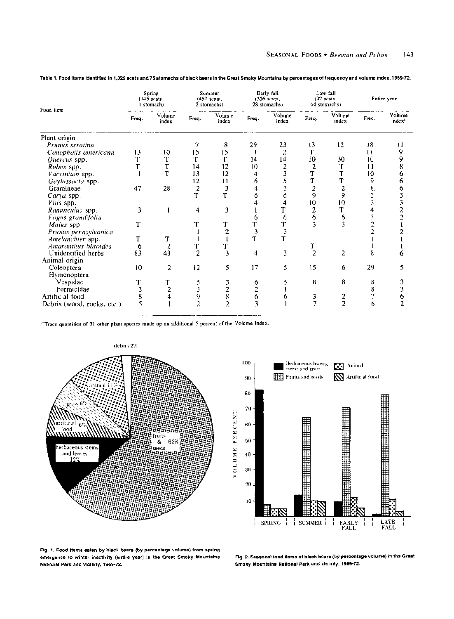| Food item                   | Spring<br>$(145 \text{ scats.})$<br>1 stomach) |                 | Summer<br>$(457$ scats.<br>2 stomachs) |                 | Early fall<br>$(326 \text{ scats})$<br>28 stomachs) |                 | Late fall<br>$(97 \text{ scats.})$<br>44 stomachs) |                                       | Entire year  |                              |
|-----------------------------|------------------------------------------------|-----------------|----------------------------------------|-----------------|-----------------------------------------------------|-----------------|----------------------------------------------------|---------------------------------------|--------------|------------------------------|
|                             | Freq.                                          | Volume<br>index | Freq.                                  | Volume<br>index | Freq.                                               | Volume<br>index | Freq.                                              | Volume<br>index                       | Freq.        | Volume<br>index <sup>a</sup> |
| Plant origin                |                                                |                 |                                        |                 |                                                     |                 |                                                    |                                       |              |                              |
| Prunus serotina             |                                                |                 |                                        | 8               | 29                                                  | 23              | 13                                                 | 12                                    | 18           | 11                           |
| Conopholis americana        | 13                                             | 10              | 15                                     | 15              |                                                     | 2               | Т                                                  |                                       | $\mathbf{1}$ | 9                            |
| Quercus spp.                | T                                              | T               | T                                      | T               | 14                                                  | 14              | 30                                                 | 30                                    | 10           | 9                            |
| Rubus spp.                  |                                                | T               | 14                                     | 12              | 10                                                  | 2               | 2                                                  | T                                     | Ħ            | 8                            |
| Vaccinium spp.              |                                                | T               | 13                                     | 12              | 4                                                   | 3               | T                                                  | T                                     | 10           | o                            |
| Gaylussacia spp.            |                                                |                 | 12                                     | Ħ               | 6                                                   | 5               | T                                                  | T                                     | 9            | o                            |
| Gramineae                   | 47                                             | 28              | 2                                      |                 |                                                     | 3               | $\overline{c}$                                     | $\overline{c}$                        | 8.           |                              |
| Carya spp.                  |                                                |                 | T                                      |                 | 6                                                   | 6               | 9                                                  | 9                                     | 3            |                              |
| Vitis spp.                  |                                                |                 |                                        |                 |                                                     | 4               | 10                                                 | 10                                    | 3            |                              |
| Ranunculus spp.             | 3                                              |                 | 4                                      | 3               |                                                     | T               | 2                                                  | T                                     | 4            |                              |
| Fagus grandifolia           |                                                |                 |                                        |                 | 6                                                   | 6               | 6                                                  |                                       | 3            |                              |
| Malus spp.                  | T                                              |                 |                                        |                 | T                                                   | T               | 3                                                  | $\begin{array}{c} 6 \\ 3 \end{array}$ | 2            |                              |
| Prunus pennsylvanica        |                                                |                 |                                        |                 | 3                                                   | 3               |                                                    |                                       |              |                              |
| Amelanchier spp.            | T                                              | т               |                                        |                 | T                                                   | T               |                                                    |                                       |              |                              |
| <b>Amaranthus blitoides</b> | 6                                              | $\overline{a}$  |                                        |                 |                                                     |                 |                                                    |                                       |              |                              |
| Unidentified herbs          | 83                                             | 43              | 2                                      | 3               | 4                                                   | 3               | $\overline{z}$                                     | $\overline{2}$                        | 8            | ħ                            |
| Animal origin               |                                                |                 |                                        |                 |                                                     |                 |                                                    |                                       |              |                              |
| Coleoptera                  | 10                                             | 2               | 12                                     | 5               | 17                                                  | 5               | 15                                                 | 6                                     | 29           | 5                            |
| Hymenoptera                 |                                                |                 |                                        |                 |                                                     |                 |                                                    |                                       |              |                              |
| Vespidae                    | T                                              |                 |                                        | 3               | 6                                                   |                 | 8                                                  | 8                                     | 8            | 3                            |
| Formicidae                  | 3                                              | 2               |                                        | 2               | 2                                                   |                 |                                                    |                                       | 8            | 3                            |
| Artificial food             | 8                                              |                 | 9                                      | 8               | 6                                                   |                 | 3                                                  | 2                                     | 7            | 6                            |
| Debris (wood, rocks, etc.)  | 5                                              |                 | $\overline{c}$                         | $\overline{c}$  | ٦                                                   |                 | 7                                                  | $\overline{2}$                        | 6            |                              |

**Table 1. Food items identified in 1,025 scats and 75 stomachs of black bears in the Great Smoky Mountains by percentages of frequency and volume index, 1969-72.** 

**aTrace quantities of 31 other plant species made up an additional 5 percent of the Volume Index.** 





**Fig. 1. Food items eaten by black bears (by percentage volume) from spring emergence to winter inactivity (entire year) in the Great Smoky Mountains National Park and vicinity, 1969-72.** 

**Fig. 2. Seasonal food items of black bears (by percentage volume) in the Great Smoky Mountains National Park and vicinity, 1969-72.**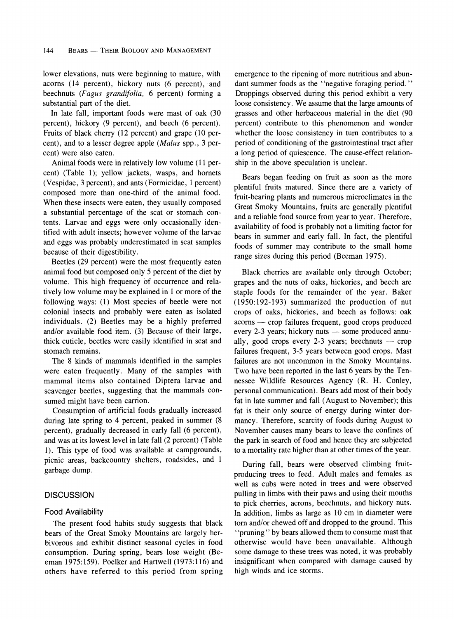**lower elevations, nuts were beginning to mature, with acorns (14 percent), hickory nuts (6 percent), and beechnuts (Fagus grandifolia, 6 percent) forming a substantial part of the diet.** 

**In late fall, important foods were mast of oak (30 percent), hickory (9 percent), and beech (6 percent). Fruits of black cherry (12 percent) and grape (10 percent), and to a lesser degree apple (Malus spp., 3 percent) were also eaten.** 

**Animal foods were in relatively low volume (11 percent) (Table 1); yellow jackets, wasps, and hornets (Vespidae, 3 percent), and ants (Formicidae, 1 percent) composed more than one-third of the animal food. When these insects were eaten, they usually composed a substantial percentage of the scat or stomach contents. Larvae and eggs were only occasionally identified with adult insects; however volume of the larvae and eggs was probably underestimated in scat samples because of their digestibility.** 

**Beetles (29 percent) were the most frequently eaten animal food but composed only 5 percent of the diet by**  volume. This high frequency of occurrence and rela**tively low volume may be explained in 1 or more of the following ways: (1) Most species of beetle were not colonial insects and probably were eaten as isolated individuals. (2) Beetles may be a highly preferred and/or available food item. (3) Because of their large, thick cuticle, beetles were easily identified in scat and stomach remains.** 

**The 8 kinds of mammals identified in the samples were eaten frequently. Many of the samples with mammal items also contained Diptera larvae and scavenger beetles, suggesting that the mammals consumed might have been carrion.** 

**Consumption of artificial foods gradually increased during late spring to 4 percent, peaked in summer (8 percent), gradually decreased in early fall (6 percent), and was at its lowest level in late fall (2 percent) (Table 1). This type of food was available at campgrounds, picnic areas, backcountry shelters, roadsides, and 1 garbage dump.** 

#### **DISCUSSION**

#### **Food Availability**

**The present food habits study suggests that black bears of the Great Smoky Mountains are largely herbivorous and exhibit distinct seasonal cycles in food consumption. During spring, bears lose weight (Beeman 1975:159). Poelker and Hartwell (1973:116) and others have referred to this period from spring**  **emergence to the ripening of more nutritious and abundant summer foods as the "negative foraging period." Droppings observed during this period exhibit a very loose consistency. We assume that the large amounts of grasses and other herbaceous material in the diet (90 percent) contribute to this phenomenon and wonder whether the loose consistency in turn contributes to a period of conditioning of the gastrointestinal tract after a long period of quiescence. The cause-effect relationship in the above speculation is unclear.** 

**Bears began feeding on fruit as soon as the more plentiful fruits matured. Since there are a variety of fruit-bearing plants and numerous microclimates in the Great Smoky Mountains, fruits are generally plentiful and a reliable food source from year to year. Therefore, availability of food is probably not a limiting factor for bears in summer and early fall. In fact, the plentiful foods of summer may contribute to the small home range sizes during this period (Beeman 1975).** 

**Black cherries are available only through October; grapes and the nuts of oaks, hickories, and beech are staple foods for the remainder of the year. Baker (1950:192-193) summarized the production of nut crops of oaks, hickories, and beech as follows: oak acorns - crop failures frequent, good crops produced**  every 2-3 years; hickory nuts — some produced annually, good crops every 2-3 years; beechnuts — crop **failures frequent, 3-5 years between good crops. Mast failures are not uncommon in the Smoky Mountains. Two have been reported in the last 6 years by the Tennessee Wildlife Resources Agency (R. H. Conley, personal communication). Bears add most of their body fat in late summer and fall (August to November); this fat is their only source of energy during winter dormancy. Therefore, scarcity of foods during August to November causes many bears to leave the confines of the park in search of food and hence they are subjected to a mortality rate higher than at other times of the year.** 

**During fall, bears were observed climbing fruitproducing trees to feed. Adult males and females as well as cubs were noted in trees and were observed pulling in limbs with their paws and using their mouths to pick cherries, acrons, beechnuts, and hickory nuts. In addition, limbs as large as 10 cm in diameter were torn and/or chewed off and dropped to the ground. This "pruning"' by bears allowed them to consume mast that otherwise would have been unavailable. Although some damage to these trees was noted, it was probably insignificant when compared with damage caused by high winds and ice storms.**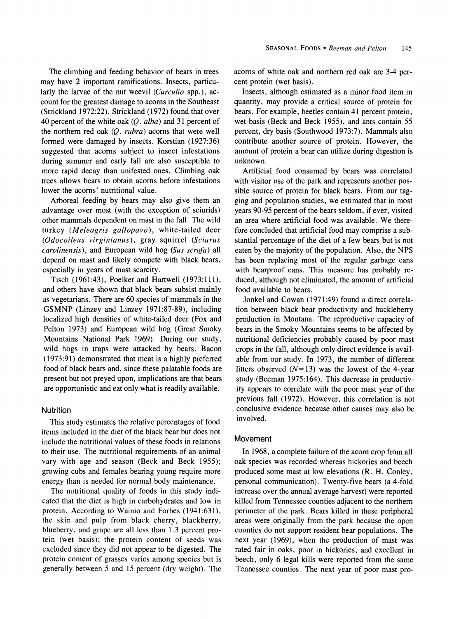**The climbing and feeding behavior of bears in trees may have 2 important ramifications. Insects, particu**larly the larvae of the nut weevil (*Curculio* spp.), ac**count for the greatest damage to acorns in the Southeast (Strickland 1972:22). Strickland (1972) found that over 40 percent of the white oak (Q. alba) and 31 percent of the northern red oak (Q. rubra) acorns that were well formed were damaged by insects. Korstian (1927:36) suggested that acorns subject to insect infestations during summer and early fall are also susceptible to more rapid decay than unifested ones. Climbing oak trees allows bears to obtain acorns before infestations lower the acorns' nutritional value.** 

**Arboreal feeding by bears may also give them an advantage over most (with the exception of sciurids) other mammals dependent on mast in the fall. The wild turkey (Meleagris gallopavo), white-tailed deer (Odocoileus virginianus), gray squirrel (Sciurus carolinensis), and European wild hog (Sus scrofa) all depend on mast and likely compete with black bears, especially in years of mast scarcity.** 

**Tisch (1961:43), Poelker and Hartwell (1973:111), and others have shown that black bears subsist mainly as vegetarians. There are 60 species of mammals in the GSMNP (Linzey and Linzey 1971:87-89), including localized high densities of white-tailed deer (Fox and Pelton 1973) and European wild hog (Great Smoky Mountains National Park 1969). During our study, wild hogs in traps were attacked by bears. Bacon (1973:91) demonstrated that meat is a highly preferred food of black bears and, since these palatable foods are present but not preyed upon, implications are that bears are opportunistic and eat only what is readily available.** 

#### **Nutrition**

**This study estimates the relative percentages of food items included in the diet of the black bear but does not include the nutritional values of these foods in relations to their use. The nutritional requirements of an animal vary with age and season (Beck and Beck 1955); growing cubs and females bearing young require more energy than is needed for normal body maintenance.** 

**The nutritional quality of foods in this study indicated that the diet is high in carbohydrates and low in protein. According to Wainio and Forbes (1941:631), the skin and pulp from black cherry, blackberry, blueberry, and grape are all less than 1.3 percent protein (wet basis); the protein content of seeds was excluded since they did not appear to be digested. The protein content of grasses varies among species but is generally between 5 and 15 percent (dry weight). The**  **acorns of white oak and northern red oak are 3-4 percent protein (wet basis).** 

**Insects, although estimated as a minor food item in quantity, may provide a critical source of protein for bears. For example, beetles contain 41 percent protein, wet basis (Beck and Beck 1955), and ants contain 55 percent, dry basis (Southwood 1973:7). Mammals also contribute another source of protein. However, the amount of protein a bear can utilize during digestion is unknown.** 

**Artificial food consumed by bears was correlated with visitor use of the park and represents another possible source of protein for black bears. From our tagging and population studies, we estimated that in most years 90-95 percent of the bears seldom, if ever, visited an area where artificial food was available. We therefore concluded that artificial food may comprise a substantial percentage of the diet of a few bears but is not eaten by the majority of the population. Also, the NPS has been replacing most of the regular garbage cans with bearproof cans. This measure has probably reduced, although not eliminated, the amount of artificial food available to bears.** 

**Jonkel and Cowan (1971:49) found a direct correlation between black bear productivity and huckleberry production in Montana. The reproductive capacity of bears in the Smoky Mountains seems to be affected by nutritional deficiencies probably caused by poor mast crops in the fall, although only direct evidence is available from our study. In 1973, the number of different**  litters observed  $(N=13)$  was the lowest of the 4-year **study (Beeman 1975:164). This decrease in productivity appears to correlate with the poor mast year of the previous fall (1972). However, this correlation is not conclusive evidence because other causes may also be involved.** 

#### **Movement**

**In 1968, a complete failure of the acorn crop from all oak species was recorded whereas hickories and beech produced some mast at low elevations (R. H. Conley, personal communication). Twenty-five bears (a 4-fold increase over the annual average harvest) were reported killed from Tennessee counties adjacent to the northern perimeter of the park. Bears killed in these peripheral areas were originally from the park because the open counties do not support resident bear populations. The next year (1969), when the production of mast was rated fair in oaks, poor in hickories, and excellent in beech, only 6 legal kills were reported from the same Tennessee counties. The next year of poor mast pro-**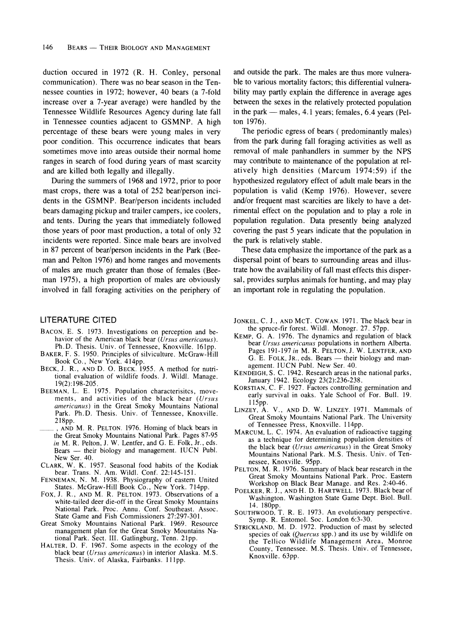**duction occured in 1972 (R. H. Conley, personal communication). There was no bear season in the Tennessee counties in 1972; however, 40 bears (a 7-fold increase over a 7-year average) were handled by the Tennessee Wildlife Resources Agency during late fall in Tennessee counties adjacent to GSMNP. A high percentage of these bears were young males in very poor condition. This occurrence indicates that bears sometimes move into areas outside their normal home ranges in search of food during years of mast scarcity and are killed both legally and illegally.** 

**During the summers of 1968 and 1972, prior to poor mast crops, there was a total of 252 bear/person incidents in the GSMNP. Bear/person incidents included bears damaging pickup and trailer campers, ice coolers, and tents. During the years that immediately followed those years of poor mast production, a total of only 32 incidents were reported. Since male bears are involved in 87 percent of bear/person incidents in the Park (Beeman and Pelton 1976) and home ranges and movements of males are much greater than those of females (Beeman 1975), a high proportion of males are obviously involved in fall foraging activities on the periphery of** 

#### **LITERATURE CITED**

- **BACON, E. S. 1973. Investigations on perception and be**havior of the American black bear (Ursus americanus). **Ph.D. Thesis. Univ. of Tennessee, Knoxville. 161pp.**
- **BAKER, F. S. 1950. Principles of silviculture. McGraw-Hill Book Co., New York. 414pp.**
- **BECK, J. R., AND D. O. BECK. 1955. A method for nutritional evaluation of wildlife foods. J. Wildl. Manage. 19(2):198-205.**
- **BEEMAN, L. E. 1975. Population characterisitcs, movements, and activities of the black bear (Ursus americanus) in the Great Smoky Mountains National Park. Ph.D. Thesis. Univ. of Tennessee, Knoxville. 218pp.**
- **, AND M. R. PELTON. 1976. Homing of black bears in the Great Smoky Mountains National Park. Pages 87-95 in M. R. Pelton, J. W. Lentfer, and G. E. Folk, Jr., eds.**  Bears - their biology and management. **IUCN** Publ. **New Ser. 40.**
- **CLARK, W. K. 1957. Seasonal food habits of the Kodiak bear. Trans. N. Am. Wildl. Conf. 22:145-151.**
- **FENNEMAN, N. M. 1938. Physiography of eastern United**
- **States. McGraw-Hill Book Co., New York. 714pp. FOX, J. R., AND M. R. PELTON. 1973. Observations of a white-tailed deer die-off in the Great Smoky Mountains National Park. Proc. Annu. Conf. Southeast. Assoc. State Game and Fish Commissioners 27:297-301.**
- **Great Smoky Mountains National Park. 1969. Resource management plan for the Great Smoky Mountains National Park. Sect. III. Gatlingburg, Tenn. 21pp.**
- **HALTER, D. F. 1967. Some aspects in the ecology of the black bear (Ursus americanus) in interior Alaska. M.S.**  Thesis. Univ. of Alaska, Fairbanks. 111pp.

**and outside the park. The males are thus more vulnerable to various mortality factors; this differential vulnerability may partly explain the difference in average ages between the sexes in the relatively protected population**  in the park — males, 4.1 years; females, 6.4 years (Pel**ton 1976).** 

**The periodic egress of bears ( predominantly males) from the park during fall foraging activities as well as removal of male panhandlers in summer by the NPS may contribute to maintenance of the population at relatively high densities (Marcum 1974:59) if the hypothesized regulatory effect of adult male bears in the population is valid (Kemp 1976). However, severe and/or frequent mast scarcities are likely to have a detrimental effect on the population and to play a role in population regulation. Data presently being analyzed covering the past 5 years indicate that the population in the park is relatively stable.** 

**These data emphasize the importance of the park as a dispersal point of bears to surrounding areas and illustrate how the availability of fall mast effects this dispersal, provides surplus animals for hunting, and may play an important role in regulating the population.** 

- **JONKEL, C. J., AND MCT. COWAN. 1971. The black bear in the spruce-fir forest. Wildl. Monogr. 27. 57pp.**
- **KEMP, G. A. 1976. The dynamics and regulation of black bear Ursus americanus populations in northern Alberta. Pages 191-197 in M. R. PELTON, J. W. LENTFER, AND G. E. FOLK, JR., eds. Bears - their biology and management. IUCN Publ. New Ser. 40.**
- **KENDEIGH, S. C. 1942. Research areas in the national parks, January 1942. Ecology 23(2):236-238.**
- **KORSTIAN, C. F. 1927. Factors controlling germination and early survival in oaks. Yale School of For. Bull. 19. 115pp.**
- **LINZEY, A. V., AND D. W. LINZEY. 1971. Mammals of Great Smoky Mountains National Park. The University of Tennessee Press, Knoxville. 114pp.**
- **MARCUM, L. C. 1974. An evaluation of radioactive tagging as a technique for determining population densities of the black bear (Ursus americanus) in the Great Smoky Mountains National Park. M.S. Thesis. Univ. of Tennessee, Knoxville. 95pp.**
- **PELTON, M. R. 1976. Summary of black bear research in the Great Smoky Mountains National Park. Proc. Eastern Workshop on Black Bear Manage. and Res. 2:40-46.**
- **POELKER, R. J., AND H. D. HARTWELL. 1973. Black bear of Washington. Washington State Game Dept. Biol. Bull. 14. 180pp.**
- **SOUTHWOOD, T. R. E. 1973. An evolutionary perspective. Symp. R. Entomol. Soc. London 6:3-30.**
- **STRICKLAND, M. D. 1972. Production of mast by selected species of oak (Quercus spp.) and its use by wildlife on the Tellico Wildlife Management Area, Monroe County, Tennessee. M.S. Thesis. Univ. of Tennessee, Knoxville. 63pp.**